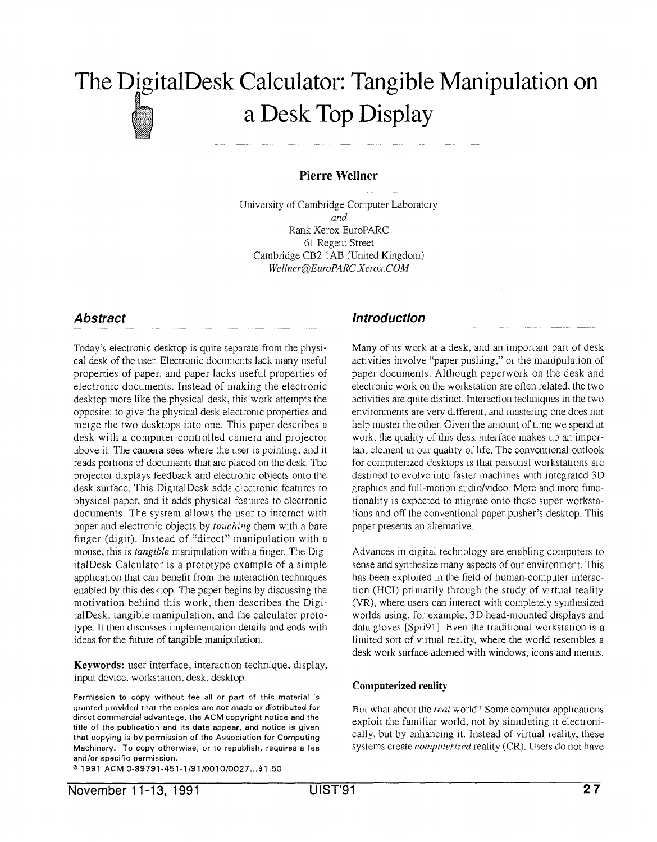# The DigitalDesk Calculator: Tangible Manipulation on b  $\sum_{n=1}^{\infty}$ a Desk Top Display

### Pierre Wellner

University of Cambridge Computer Laboratory and Rank Xerox EuroPARC 61 Regent Street Cambridge CB2 1AB (United Kingdom) Wellner@EuroPARC Xerox.COM

### **Abstract**

Today's electronic desktop is quite separate from the physical desk of the user. Electronic documents lack many useful properties of paper, and paper lacks useful properties of electronic documents. Instead of making the electronic desktop more like the physical desk, this work attempts the opposite: to give the physical desk electronic properties and merge the two desktops into one. This paper describes a desk with a computer-controlled camera and projector above it. The camera sees where the user is pointing, and it reads portions of documents that are placed on the desk. The projector displays feedback and electronic objects onto the desk surface. This DigitalDesk adds electronic features to physical paper, and it adds physical features to electronic documents. The system allows the user to interact with paper and electronic objects by touching them with a bare finger (digit). Instead of "direct" manipulation with a mouse, this is tangible manipulation with a finger. The DigitalDesk Calculator is a prototype example of a simple application that can benefit from the interaction techniques enabled by this desktop. The paper begins by discussing the motivation behind this work, then describes the DigitalDesk, tangible manipulation, and the calculator prototype. It then discusses implementation details and ends with ideas for the future of tangible manipulation.

Keywords: user interface, interaction technique, display, input device, workstation, desk, desktop.

Permission to copy without fee all or part of this material is granted provided that the copies are not made or distributed for direct commercial advantage, the ACM copyright notice and the title of the publication and its date appear, and notice is given that copying is by permission of the Association for Computing Machinery. To copy otherwise, or to republish, requires a fee and/or specific permission.

o 1991 ACM 0-89791 -451 -1/91 /0010 /0027 . ..\$l .50

### Introduction

Many of us work at a desk, and an important part of desk activities involve "paper pushing," or the manipulation of paper documents. Although paperwork on the desk and electronic work on the workstation are often related, the two activities are quite distinct, Interaction techniques in the two environments are very different, and mastering one does not help master the other, Given the amount of time we spend at work, the quality of this desk interface makes up an important element in our quality of life. The conventional outlook for computerized desktops is that personal workstations are destined to evolve into faster machines with integrated 3D graphics and full-motion audio/video. More and more functionality is expected to migrate onto these super-workstations and off the conventional paper pusher's desktop. This paper presents an alternative.

Advances in digital technology are enabling computers to sense and synthesize many aspects of our environment. This has been exploited in the field of human-computer interaction (HCI) primarily through the study of virtual reality (VR), where users can interact with completely synthesized worlds using, for example, 3D head-mounted displays and data gloves [Spri91]. Even the traditional workstation is a limited sort of virtual reality, where the world resembles a desk work surface adorned with windows, icons and menus.

#### Computerized reality

But what about the *real* world? Some computer applications exploit the familiar world, not by simulating it electronically, but by enhancing it. Instead of virtual reality, these systems create *computerized* reality (CR). Users do not have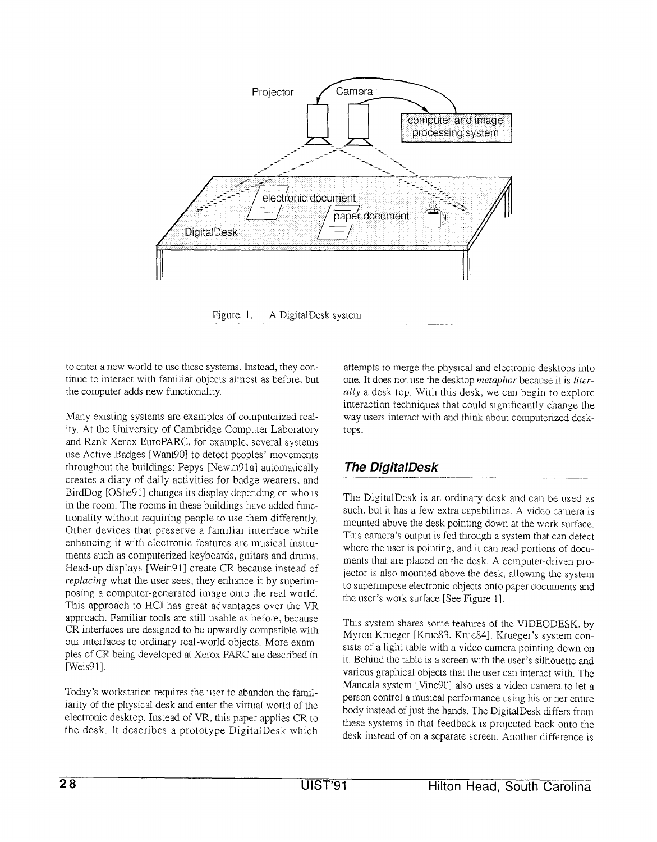

Figure 1. A DigitalDesk system

to enter a new world to use these systems. Instead, they continue to interact with familiar objects almost as before, but the computer adds new functionality.

Many existing systems are examples of computerized reality. At the University of Cambridge Computer Laboratory and Rank Xerox EuroPARC, for example, several systems use Active Badges [Want90] to detect peoples' movements throughout the buildings: Pepys [Newm91a] automatically creates a diary of daily activities for badge wearers, and BirdDog [OShe91] changes its display depending on who is in the room. The rooms in these buildings have added functionality without requiring people to use them differently. Other devices that preserve a familiar interface while enhancing it with electronic features are musical instruments such as computerized keyboards, guitars and dmms. Head-up displays [Wein91] create CR because instead of replacing what the user sees, they enhance it by superimposing a computer-generated image onto the real world. This approach to HCI has great advantages over the VR approach. Familiar tools are still usable as before, because CR interfaces are designed to be upwardly compatible with our interfaces to ordinary real-world objects. More examples of CR being developed at Xerox PARC are described in [Weis91].

Today's workstation requires the user to abandon the familiarity of the physical desk and enter the virtual world of the electronic desktop. Instead of VR, this paper applies CR to the desk. It describes a prototype DigitalDesk which

attempts to merge the physical amd electronic desktops mto one. It does not use the desktop metaphor because it is literally a desk top. With this desk, we can begin to explore interaction techniques that could sigmficantly change the way users interact with and think about computerized desktops.

# The DigitalDesk

The DigitalDesk is an ordinary desk and can be used as such, but it has a few extra capabilities. A video camera is mounted above the desk pointing down at the work surface. This camera's output is fed through a system that can detect where the user is pointing, and it can read portions of documents that are placed on the desk. A computer-driven projector is also mounted above the desk, allowing the system to superimpose electronic objects onto paper documents and the user's work surface [See Figure 1].

This system shares some features of the VIDEODESK, by Myron Krueger [Krue83. Krue84], Krueger's system consists of a light table with a video camera pointing down on it. Behind the table is a screen with the user's silhouette and various graphical objects that the user can interact with. The Mandala system [Vinc90] also uses a video camera to let a person control a musical performance using his or her entire body instead of just the hands, The DigitalDesk differs from these systems in that feedback is projected back onto the desk instead of on a separate screen. Another difference is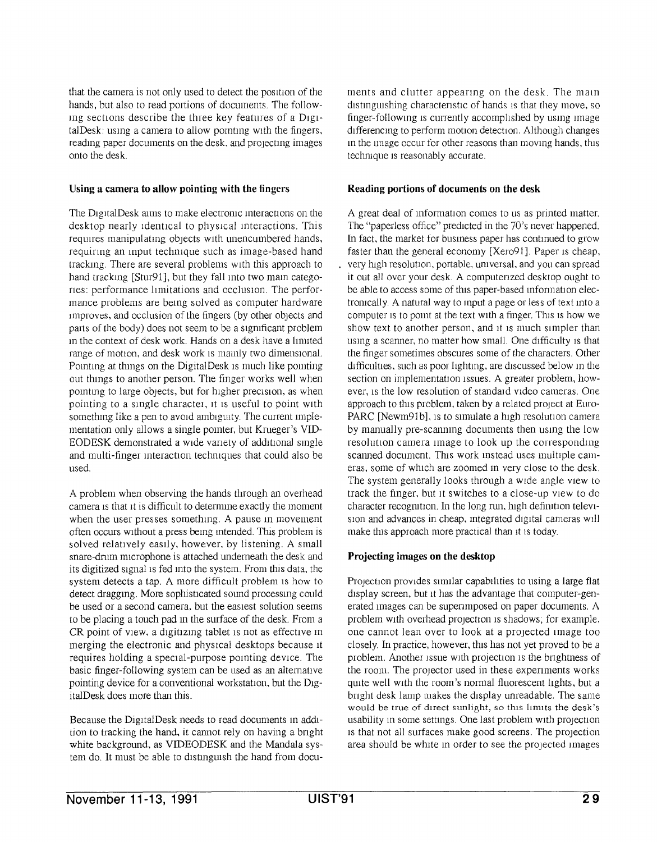that the camera is not only used to detect the position of the ments and clutter appearing on the desk. The main hands, but also to read portions of documents, The following sections describe the three key features of a DigitalDesk: using a camera to allow pomtmg with the fingers, reading paper documents on the desk, and projecting images onto the desk.

#### Using a camera to allow pointing with the fingers

The DigitalDesk aims to make electronic interactions on the desktop nearly identical to physical interactions. This requires manipulating objects with unencumbered hands, requiring an input techmque such as image-based hand tracking. There are several problems with this approach to hand tracking [Stur91], but they fall into two main categories: performance limitations and occlusion. The performance problems are being solved as computer hardware improves, and occlusion of the fingers (by other objects and parts of the body) does not seem to be a significant problem m the context of desk work. Hands on a desk have a hnuted range of motion, and desk work is mainly two dimensional. Pointing at things on the Digital Desk is much like pointing out things to another person. The finger works well when pointing to large objects, but for higher precision, as when pointing to a single character, it is useful to point with something like a pen to avoid ambiguity. The current implementation only allows a single pointer, but Krueger's VID-EODESK demonstrated a wide variety of addltlond single and multi-finger interaction techniques that could also be used.

A problem when observing the hands through an overhead camera is that it is difficult to determine exactly the moment when the user presses something. A pause in movement often occurs without a press being intended. This problem is solved relatively easily, however, by listening. A small snare-drum microphone is attached underneath the desk and its digitized signal is fed into the system. From this data, the system detects a tap. A more difficult problem is how to detect dragging. More sophisticated sound processing could be used or a second camera, but the easiest solution seems to be placing a touch pad in the surface of the desk. From a CR point of view, a digitizing tablet is not as effective in merging the electronic and physical desktops because lt requires holding a special-purpose pointing dewce. The basic finger-following system can be used as an altematwe pointing device for a conventional workstation, but the DigitalDesk does more than this.

Because the DigitalDesk needs to read documents in addition to tracking the hand, it cannot rely on having a bright white background, as VIDEODESK and the Mandala system do. It must be able to distinguish the hand from docudistinguishing characteristic of hands is that they move, so finger-following is currently accomplished by using image differencing to perform motion detection. Although changes m the unage occur for other reasons than movmg hands, this techmque is reasonably accurate.

### Reading portions of documents on the desk

A great deal of information comes to us as printed matter. The "paperless office" predicted in the 70's never happened. In fact, the market for business paper has continued to grow faster than the general economy  $[Xero91]$ . Paper is cheap, very high resolution, portable, universal, and you can spread it out all over your desk. A computerized desktop ought to be able to access some of this paper-based information electromcally. A natural way to input a page or less of text into a computer is to point at the text with a finger. This is how we show text to another person, and it is much simpler than using a scanner, no matter how small. One difficulty is that the finger sometimes obscures some of the characters. Other difficulties, such as poor lighting, are discussed below in the section on implementation issues. A greater problem, however, is the low resolution of standard video cameras. One approach to this problem, taken by a related project at Euro-PARC [Newm91b], is to simulate a high resolution camera by manually pre-scannmg documents then using the low resolution camera image to look up the corresponding scanned document. This work instead uses multiple cameras, some of which are zoomed m very close to the desk. The system generally looks through a wide angle wew to track the finger, but lt switches to a close-up view to do character recognition. In the long run, high definition television and advances in cheap, integrated digital cameras will make this approach more practical than it is today.

### Projecting images on the desktop

Projection provides similar capabilities to using a large flat display screen, but It has the advantage that computer-generated images can be superimposed on paper documents. A problem with overhead projection is shadows; for example, one cannot lean over to look at a projected lrnage too closely. In practice, however, this has not yet proved to be a problem. Another issue with projection is the brightness of the room. The projector used in these experiments works quite well with the room's normal fluorescent lights, but a bright desk lamp makes the display unreadable. The same would be true of direct sunlight, so this limits the desk's usability m some settings. One last problem with projection 1s that not all surfaces make good screens, The projection area should be white m order to see the projected images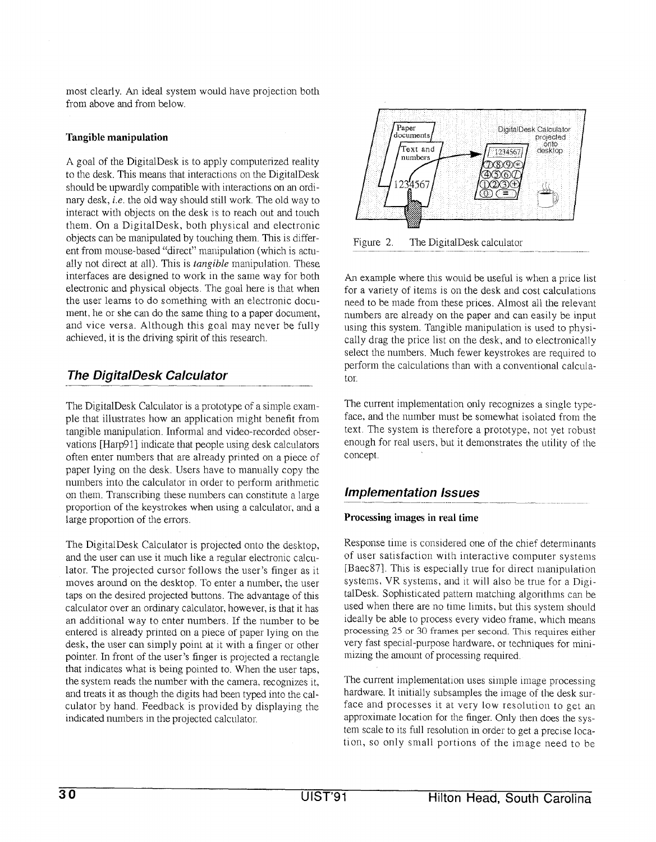most clearly. An ideal system would have projection both from above and from below.

#### Tangible manipulation

A goal of the DigitalDesk is to apply computerized reality to the desk. This means that interactions on the DigitalDesk should be upwardly compatible with interactions on an ordinary desk, i.e. the old way should still work. The old way to interact with objects on the desk is to reach out and touch them. On a DigitalDesk, both physical and electronic objects can be manipulated by touching them. This is different from mouse-based "direct" manipulation (which is actually not direct at all). This is *tangible* manipulation. These interfaces are designed to work in the same way for both electronic and physical objects, The goal here is that when the user learns to do something with an electronic document, he or she can do the same thing to a paper document, and vice versa. Although this goal may never be fully achieved, it is the driving spirit of this research.

## The DigitalDesk Calculator

The DigitalDesk Calculator is a prototype of a simple example that illustrates how an application might benefit from tangible manipulation. Informal and video-recorded observations [Harp91] indicate that people using desk calculators often enter numbers that are already printed on a piece of paper lying on the desk. Users have to manually copy the numbers into the calculator in order to perform arithmetic on them. Transcribing these numbers can constitute a large proportion of the keystrokes when using a calculator, and a large proportion of the errors.

The DigitalDesk Calculator is projected onto the desktop, and the user can use it much like a regular electronic calculator. The projected cursor follows the user's finger as it moves around on the desktop. To enter a number, the user taps on the desired projected buttons. The advantage of this calculator over an ordinary calculator, however, is that it has an additional way to enter numbers. If the number to be entered is already printed on a piece of paper lying on the desk, the user can simply point at it with a finger or other pointer. In front of the user's finger is projected a rectangle that indicates what is being pointed to. When the user taps, the system reads the number with the camera, recognizes it, and treats it as though the digits had been typed into the calculator by hand. Feedback is provided by displaying the indicated numbers in the projected calculator.



Figure 2, The DigitalDesk calculator

An example where this would be useful is when a price list for a variety of items is on the desk and cost calculations need to be made from these prices. Almost all the relevant numbers are already on the paper and can easily be input using this system. Tangible manipulation is used to physically drag the price list on the desk, and to electronically select the numbers. Much fewer keystrokes are required to perform the calculations than with a conventional calculator.

The current implementation only recognizes a single typeface, and the number must be somewhat isolated from the text. The system is therefore a prototype, not yet robust enough for real users, but it demonstrates the utility of the concept.

### **Implementation Issues**

### Processing images in real time

Response time is considered one of the chief determinants of user satisfaction with interactive computer systems [Baec87]. This is especially true for direct manipulation systems, VR systems, and it will also be true for a DigitalDesk. Sophisticated pattern matching algorithms can be used when there are no time limits, but this system should ideally be able to process every video frame, which means processing 25 or 30 frames per second. This requires either very fast special-purpose hardware, or techniques for minimizing the amount of processing required.

The current implementation uses simple image processing hardware. It initially subsamples the image of the desk surface and processes it at very low resolution to get an approximate location for the finger. Only then does the system scale to its full resolution in order to get a precise location, so only small portions of the image need to be

.—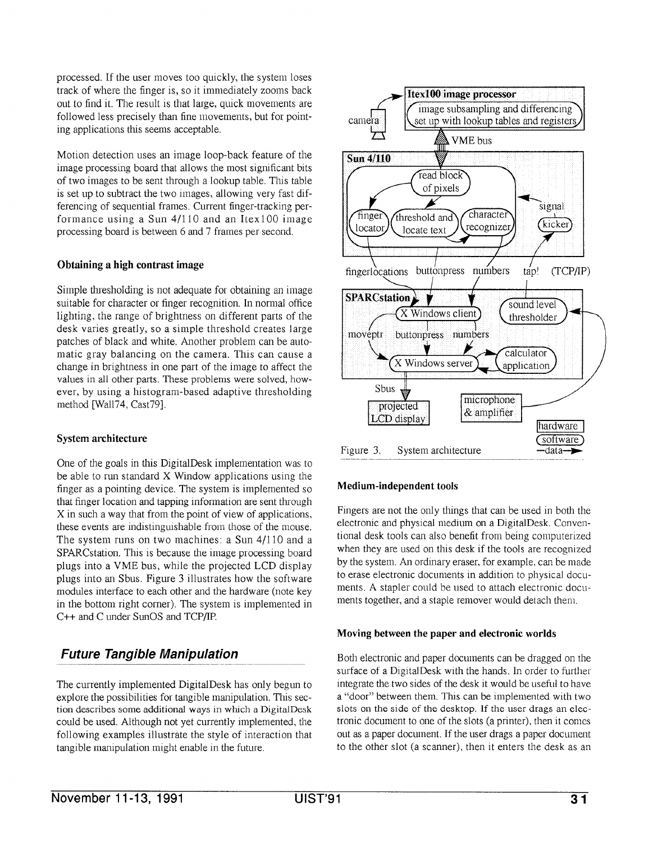processed. If the user moves too quickly, the system loses track of where the finger is, so it immediately zooms back out to find it. The result is that large, quick movements are followed less precisely than fine movements, but for pointing applications this seems acceptable.

Motion detection uses an image loop-back feature of the image processing board that allows the most significant bits of two images to be sent through a lookup table. This table is set up to subtract the two images, allowing very fast differencing of sequential frames. Current finger-tracking performance using a Sun 4/110 and an Itex100 image processing board is between 6 and 7 frames per second.

### Obtaining a high contrast image

Simple thresholding is not adequate for obtaining an image suitable for character or finger recognition. In normal office lighting, the range of brightness on different parts of the desk varies greatly, so a simple threshold creates large patches of black and white. Another problem can be automatic gray balancing on the camera. This can cause a change in brightness in one part of the image to affect the values in all other parts. These problems were solved, however, by using a histogram-based adaptive thresholding method [Wall74, Cast79].

### System architecture

One of the goals in this DigitalDesk implementation was to be able to run standard X Window applications using the finger as a pointing device. The system is implemented so that finger location and tapping information are sent through X in such a way that from the point of view of applications, these events are indistinguishable from those of the mouse. The system runs on two machines: a Sun 4/110 and a SPARCstation. This is because the image processing board plugs into a VME bus, while the projected LCD display plugs into an Sbus. Figure 3 illustrates how the software modules interface to each other and the hardware (note key in the bottom right corner). The system is implemented in C++ and C under SunOS and TCP/IP.

# Future Tangible Manipulation

The currently implemented DigitalDesk has only begun to explore the possibilities for tangible manipulation. This section describes some additional ways in which a DigitalDesk could be used. Although not yet currently implemented, the following examples illustrate the style of interaction that tangible manipulation might enable in the future.



### Medium-independent tools

Fingers are not the only things that can be used in both the electronic and physical medium on a DigitalDesk. Conventional desk tools can also benefit from being computerized when they are used on this desk if the tools are recognized by the system. An ordinary eraser, for example, can be made to erase electronic documents in addition to physical documents. A stapler could be used to attach electronic documents together, and a staple remover would detach them.

#### Moving between the paper and electronic worlds

Both electronic and paper documents can be dragged on the surface of a DigitalDesk with the hands. In order to further integrate the two sides of the desk it would be useful to have a "door" between them. This can be implemented with two slots on the side of the desktop. If the user drags an electronic document to one of the slots (a printer), then it comes out as a paper document. If the user drags a paper document to the other slot (a scanner), then it enters the desk as an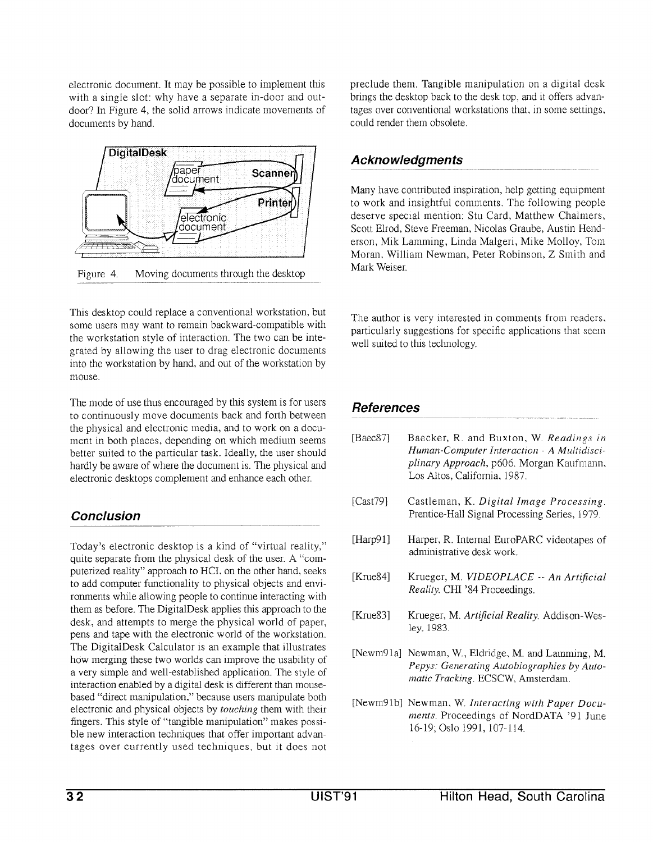electronic document. It may be possible to implement this with a single slot: why have a separate in-door and outdoor? In Figure 4, the solid arrows indicate movements of documents by hand.



Figure 4. Moving documents through the desktop

This desktop could replace a conventional workstation, but some users may want to remain backward-compatible with the workstation style of interaction, The two can be integrated by allowing the user to drag electronic documents into the workstation by hand, and out of the workstation by mouse.

The mode of use thus encouraged by this system is for users to continuously move documents back and forth between the physical and electronic media, and to work on a document in both places, depending on which medium seems better suited to the particular task. Ideally, the user should hardly be aware of where the document is. The physical and electronic desktops complement and enhance each other.

### Conclusion

Today's electronic desktop is a kind of "virtual reality," quite separate from the physical desk of the user A "computerized reality" approach to HCI, on the other hand, seeks to add computer functionality to physical objects and environments while allowing people to continue interacting with them as before. The DigitalDesk applies this approach to the desk, and attempts to merge the physical world of paper, pens and tape with the electronic world of the workstation. The DigitalDesk Calculator is an example that illustrates how merging these two worlds can improve the usability of a very simple and well-established application. The style of interaction enabled by a digital desk is different than mousebased "direct manipulation," because users manipulate both electronic and physical objects by touching them with their fingers. This style of "tangible manipulation" makes possible new interaction techniques that offer important advantages over currently used techniques, but it does not preclude them. Tangible manipulation on a digital desk brings the desktop back to the desk top, and it offers advantages over conventional workstations that, in some settings, could render them obsolete,

# **Acknowledgments**

Many have contributed inspiration, help getting equipment to work and insightful comments. The following people deserve special mention: Stu Card, Matthew Chalmers, Scott Elrod, Steve Freeman, Nicolas Graube, Austin Henderson, Mik Lamming, Linda Malgeri, Mike Molloy, Tom Moran, William Newman, Peter Robinson, Z Smith and Mark Weiser.

The author is very interested in comments from readers, particularly suggestions for specific applications that seem well suited to this technology.

# References

| [ $Baec87$ ] | Baecker, R. and Buxton, W. Readings in<br>Human-Computer Interaction - A Multidisci-<br>plinary Approach, p606. Morgan Kaufmann,<br>Los Altos, California, 1987. |
|--------------|------------------------------------------------------------------------------------------------------------------------------------------------------------------|
| [ $Cast79$ ] | Castleman, K. Digital Image Processing.<br>Prentice-Hall Signal Processing Series, 1979.                                                                         |
| [Harp91]     | Harper, R. Internal EuroPARC videotapes of<br>administrative desk work.                                                                                          |
| [Krue84]     | Krueger, M. VIDEOPLACE -- An Artificial<br>Reality. CHI '84 Proceedings.                                                                                         |
| [Krue83]     | Krueger, M. Artificial Reality. Addison-Wes-<br>ley, 1983.                                                                                                       |
|              | [Newm91a] Newman, W., Eldridge, M. and Lamming, M.<br>Pepys: Generating Autobiographies by Auto-<br>matic Tracking. ECSCW, Amsterdam.                            |
|              | [Newm91b] Newman, W. Interacting with Paper Docu-<br>ments. Proceedings of NordDATA '91 June                                                                     |

16-19; 0s]0 1991, 107-114.